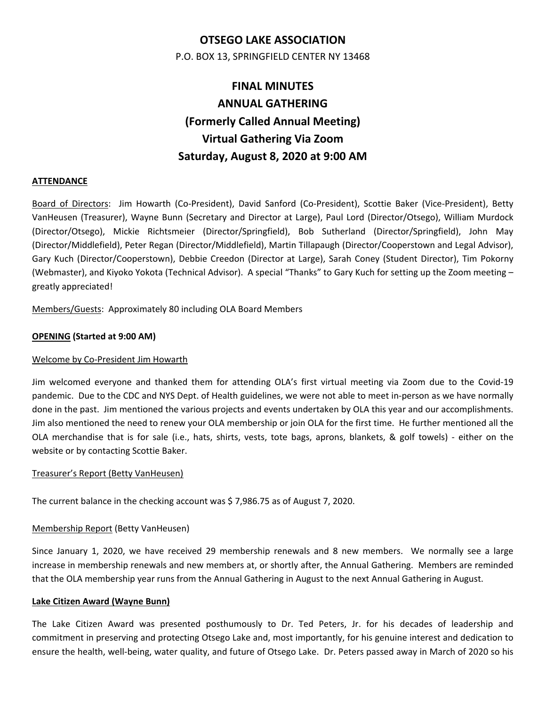# **OTSEGO LAKE ASSOCIATION**

P.O. BOX 13, SPRINGFIELD CENTER NY 13468

# **FINAL MINUTES ANNUAL GATHERING (Formerly Called Annual Meeting) Virtual Gathering Via Zoom Saturday, August 8, 2020 at 9:00 AM**

# **ATTENDANCE**

Board of Directors: Jim Howarth (Co‐President), David Sanford (Co‐President), Scottie Baker (Vice‐President), Betty VanHeusen (Treasurer), Wayne Bunn (Secretary and Director at Large), Paul Lord (Director/Otsego), William Murdock (Director/Otsego), Mickie Richtsmeier (Director/Springfield), Bob Sutherland (Director/Springfield), John May (Director/Middlefield), Peter Regan (Director/Middlefield), Martin Tillapaugh (Director/Cooperstown and Legal Advisor), Gary Kuch (Director/Cooperstown), Debbie Creedon (Director at Large), Sarah Coney (Student Director), Tim Pokorny (Webmaster), and Kiyoko Yokota (Technical Advisor). A special "Thanks" to Gary Kuch for setting up the Zoom meeting – greatly appreciated!

Members/Guests: Approximately 80 including OLA Board Members

# **OPENING (Started at 9:00 AM)**

# Welcome by Co‐President Jim Howarth

Jim welcomed everyone and thanked them for attending OLA's first virtual meeting via Zoom due to the Covid‐19 pandemic. Due to the CDC and NYS Dept. of Health guidelines, we were not able to meet in‐person as we have normally done in the past. Jim mentioned the various projects and events undertaken by OLA this year and our accomplishments. Jim also mentioned the need to renew your OLA membership or join OLA for the first time. He further mentioned all the OLA merchandise that is for sale (i.e., hats, shirts, vests, tote bags, aprons, blankets, & golf towels) - either on the website or by contacting Scottie Baker.

# Treasurer's Report (Betty VanHeusen)

The current balance in the checking account was \$ 7,986.75 as of August 7, 2020.

# Membership Report (Betty VanHeusen)

Since January 1, 2020, we have received 29 membership renewals and 8 new members. We normally see a large increase in membership renewals and new members at, or shortly after, the Annual Gathering. Members are reminded that the OLA membership year runs from the Annual Gathering in August to the next Annual Gathering in August.

# **Lake Citizen Award (Wayne Bunn)**

The Lake Citizen Award was presented posthumously to Dr. Ted Peters, Jr. for his decades of leadership and commitment in preserving and protecting Otsego Lake and, most importantly, for his genuine interest and dedication to ensure the health, well-being, water quality, and future of Otsego Lake. Dr. Peters passed away in March of 2020 so his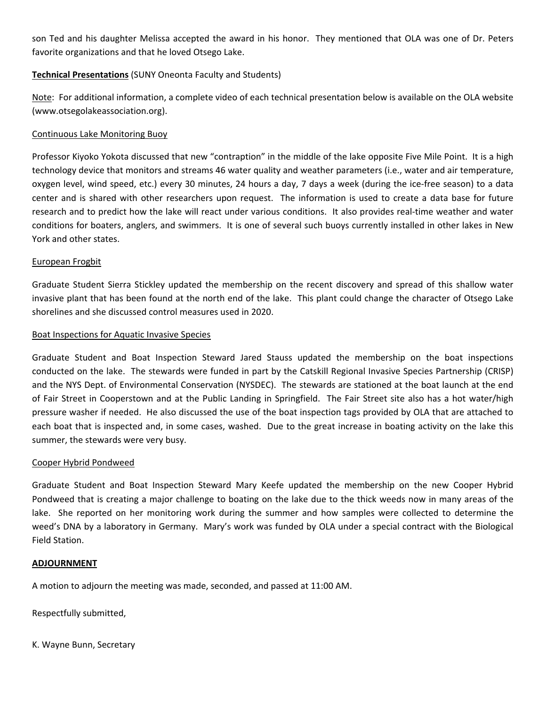son Ted and his daughter Melissa accepted the award in his honor. They mentioned that OLA was one of Dr. Peters favorite organizations and that he loved Otsego Lake.

# **Technical Presentations** (SUNY Oneonta Faculty and Students)

Note: For additional information, a complete video of each technical presentation below is available on the OLA website (www.otsegolakeassociation.org).

#### Continuous Lake Monitoring Buoy

Professor Kiyoko Yokota discussed that new "contraption" in the middle of the lake opposite Five Mile Point. It is a high technology device that monitors and streams 46 water quality and weather parameters (i.e., water and air temperature, oxygen level, wind speed, etc.) every 30 minutes, 24 hours a day, 7 days a week (during the ice‐free season) to a data center and is shared with other researchers upon request. The information is used to create a data base for future research and to predict how the lake will react under various conditions. It also provides real‐time weather and water conditions for boaters, anglers, and swimmers. It is one of several such buoys currently installed in other lakes in New York and other states.

#### European Frogbit

Graduate Student Sierra Stickley updated the membership on the recent discovery and spread of this shallow water invasive plant that has been found at the north end of the lake. This plant could change the character of Otsego Lake shorelines and she discussed control measures used in 2020.

#### Boat Inspections for Aquatic Invasive Species

Graduate Student and Boat Inspection Steward Jared Stauss updated the membership on the boat inspections conducted on the lake. The stewards were funded in part by the Catskill Regional Invasive Species Partnership (CRISP) and the NYS Dept. of Environmental Conservation (NYSDEC). The stewards are stationed at the boat launch at the end of Fair Street in Cooperstown and at the Public Landing in Springfield. The Fair Street site also has a hot water/high pressure washer if needed. He also discussed the use of the boat inspection tags provided by OLA that are attached to each boat that is inspected and, in some cases, washed. Due to the great increase in boating activity on the lake this summer, the stewards were very busy.

#### Cooper Hybrid Pondweed

Graduate Student and Boat Inspection Steward Mary Keefe updated the membership on the new Cooper Hybrid Pondweed that is creating a major challenge to boating on the lake due to the thick weeds now in many areas of the lake. She reported on her monitoring work during the summer and how samples were collected to determine the weed's DNA by a laboratory in Germany. Mary's work was funded by OLA under a special contract with the Biological Field Station.

#### **ADJOURNMENT**

A motion to adjourn the meeting was made, seconded, and passed at 11:00 AM.

Respectfully submitted,

K. Wayne Bunn, Secretary